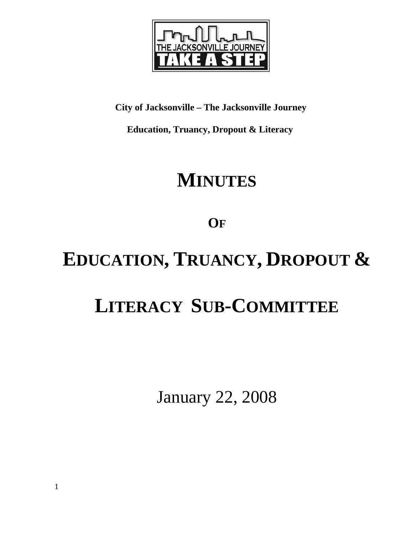

**City of Jacksonville – The Jacksonville Journey** 

 **Education, Truancy, Dropout & Literacy** 

# **MINUTES**

**OF**

# **EDUCATION, TRUANCY, DROPOUT &**

# **LITERACY SUB-COMMITTEE**

January 22, 2008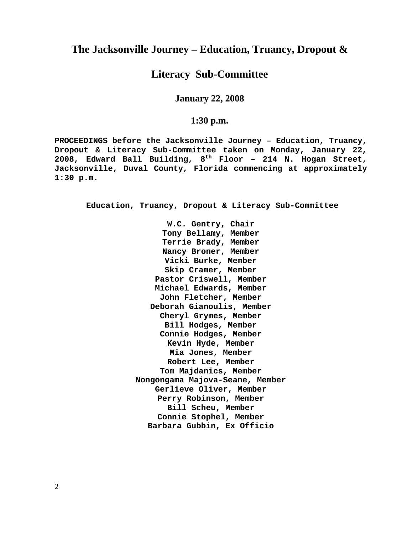# **The Jacksonville Journey – Education, Truancy, Dropout &**

## **Literacy Sub-Committee**

**January 22, 2008** 

## **1:30 p.m.**

**PROCEEDINGS before the Jacksonville Journey – Education, Truancy, Dropout & Literacy Sub-Committee taken on Monday, January 22, 2008, Edward Ball Building, 8th Floor – 214 N. Hogan Street, Jacksonville, Duval County, Florida commencing at approximately 1:30 p.m.** 

**Education, Truancy, Dropout & Literacy Sub-Committee** 

**W.C. Gentry, Chair Tony Bellamy, Member Terrie Brady, Member Nancy Broner, Member Vicki Burke, Member Skip Cramer, Member Pastor Criswell, Member Michael Edwards, Member John Fletcher, Member Deborah Gianoulis, Member Cheryl Grymes, Member Bill Hodges, Member Connie Hodges, Member Kevin Hyde, Member Mia Jones, Member Robert Lee, Member Tom Majdanics, Member Nongongama Majova-Seane, Member Gerlieve Oliver, Member Perry Robinson, Member Bill Scheu, Member Connie Stophel, Member Barbara Gubbin, Ex Officio** 

2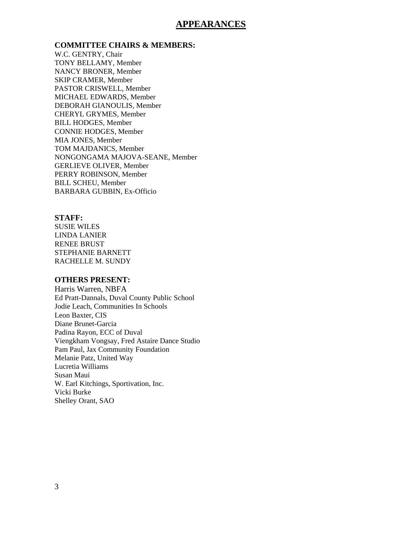### **APPEARANCES**

**COMMITTEE CHAIRS & MEMBERS:**

W.C. GENTRY, Chair TONY BELLAMY, Member NANCY BRONER, Member SKIP CRAMER, Member PASTOR CRISWELL, Member MICHAEL EDWARDS, Member DEBORAH GIANOULIS, Member CHERYL GRYMES, Member BILL HODGES, Member CONNIE HODGES, Member MIA JONES, Member TOM MAJDANICS, Member NONGONGAMA MAJOVA-SEANE, Member GERLIEVE OLIVER, Member PERRY ROBINSON, Member BILL SCHEU, Member BARBARA GUBBIN, Ex-Officio

#### **STAFF:**

SUSIE WILES LINDA LANIER RENEE BRUST STEPHANIE BARNETT RACHELLE M. SUNDY

#### **OTHERS PRESENT:**

Harris Warren, NBFA Ed Pratt-Dannals, Duval County Public School Jodie Leach, Communities In Schools Leon Baxter, CIS Diane Brunet-Garcia Padina Rayon, ECC of Duval Viengkham Vongsay, Fred Astaire Dance Studio Pam Paul, Jax Community Foundation Melanie Patz, United Way Lucretia Williams Susan Maui W. Earl Kitchings, Sportivation, Inc. Vicki Burke Shelley Orant, SAO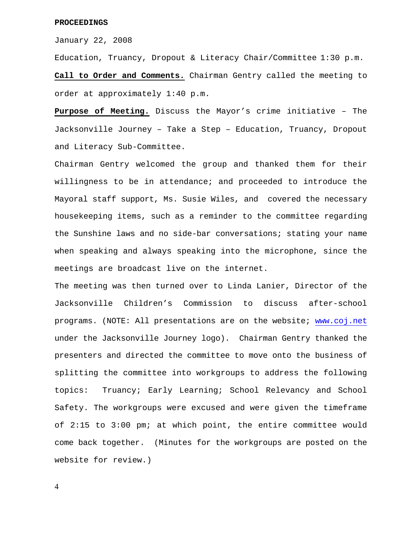#### **PROCEEDINGS**

January 22, 2008

Education, Truancy, Dropout & Literacy Chair/Committee 1:30 p.m.

**Call to Order and Comments.** Chairman Gentry called the meeting to order at approximately 1:40 p.m.

**Purpose of Meeting.** Discuss the Mayor's crime initiative – The Jacksonville Journey – Take a Step – Education, Truancy, Dropout and Literacy Sub-Committee.

Chairman Gentry welcomed the group and thanked them for their willingness to be in attendance; and proceeded to introduce the Mayoral staff support, Ms. Susie Wiles, and covered the necessary housekeeping items, such as a reminder to the committee regarding the Sunshine laws and no side-bar conversations; stating your name when speaking and always speaking into the microphone, since the meetings are broadcast live on the internet.

The meeting was then turned over to Linda Lanier, Director of the Jacksonville Children's Commission to discuss after-school programs. (NOTE: All presentations are on the website; [www.coj.net](http://www.coj.net/) under the Jacksonville Journey logo). Chairman Gentry thanked the presenters and directed the committee to move onto the business of splitting the committee into workgroups to address the following topics: Truancy; Early Learning; School Relevancy and School Safety. The workgroups were excused and were given the timeframe of 2:15 to 3:00 pm; at which point, the entire committee would come back together. (Minutes for the workgroups are posted on the website for review.)

4